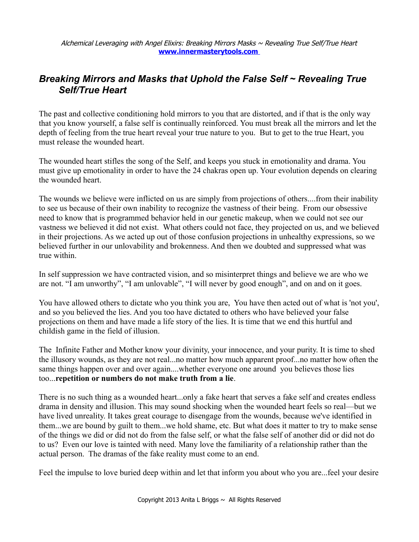## *Breaking Mirrors and Masks that Uphold the False Self ~ Revealing True Self/True Heart*

The past and collective conditioning hold mirrors to you that are distorted, and if that is the only way that you know yourself, a false self is continually reinforced. You must break all the mirrors and let the depth of feeling from the true heart reveal your true nature to you. But to get to the true Heart, you must release the wounded heart.

The wounded heart stifles the song of the Self, and keeps you stuck in emotionality and drama. You must give up emotionality in order to have the 24 chakras open up. Your evolution depends on clearing the wounded heart.

The wounds we believe were inflicted on us are simply from projections of others....from their inability to see us because of their own inability to recognize the vastness of their being. From our obsessive need to know that is programmed behavior held in our genetic makeup, when we could not see our vastness we believed it did not exist. What others could not face, they projected on us, and we believed in their projections. As we acted up out of those confusion projections in unhealthy expressions, so we believed further in our unlovability and brokenness. And then we doubted and suppressed what was true within.

In self suppression we have contracted vision, and so misinterpret things and believe we are who we are not. "I am unworthy", "I am unlovable", "I will never by good enough", and on and on it goes.

You have allowed others to dictate who you think you are, You have then acted out of what is 'not you', and so you believed the lies. And you too have dictated to others who have believed your false projections on them and have made a life story of the lies. It is time that we end this hurtful and childish game in the field of illusion.

The Infinite Father and Mother know your divinity, your innocence, and your purity. It is time to shed the illusory wounds, as they are not real...no matter how much apparent proof...no matter how often the same things happen over and over again....whether everyone one around you believes those lies too...**repetition or numbers do not make truth from a lie**.

There is no such thing as a wounded heart...only a fake heart that serves a fake self and creates endless drama in density and illusion. This may sound shocking when the wounded heart feels so real—but we have lived unreality. It takes great courage to disengage from the wounds, because we've identified in them...we are bound by guilt to them...we hold shame, etc. But what does it matter to try to make sense of the things we did or did not do from the false self, or what the false self of another did or did not do to us? Even our love is tainted with need. Many love the familiarity of a relationship rather than the actual person. The dramas of the fake reality must come to an end.

Feel the impulse to love buried deep within and let that inform you about who you are...feel your desire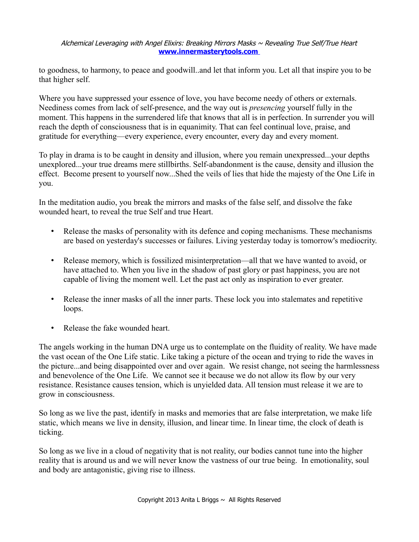## Alchemical Leveraging with Angel Elixirs: Breaking Mirrors Masks  $\sim$  Revealing True Self/True Heart  **[www.innermasterytools.com](http://www.innermasterytools.com/)**

to goodness, to harmony, to peace and goodwill..and let that inform you. Let all that inspire you to be that higher self.

Where you have suppressed your essence of love, you have become needy of others or externals. Neediness comes from lack of self-presence, and the way out is *presencing* yourself fully in the moment. This happens in the surrendered life that knows that all is in perfection. In surrender you will reach the depth of consciousness that is in equanimity. That can feel continual love, praise, and gratitude for everything—every experience, every encounter, every day and every moment.

To play in drama is to be caught in density and illusion, where you remain unexpressed...your depths unexplored...your true dreams mere stillbirths. Self-abandonment is the cause, density and illusion the effect. Become present to yourself now...Shed the veils of lies that hide the majesty of the One Life in you.

In the meditation audio, you break the mirrors and masks of the false self, and dissolve the fake wounded heart, to reveal the true Self and true Heart.

- Release the masks of personality with its defence and coping mechanisms. These mechanisms are based on yesterday's successes or failures. Living yesterday today is tomorrow's mediocrity.
- Release memory, which is fossilized misinterpretation—all that we have wanted to avoid, or have attached to. When you live in the shadow of past glory or past happiness, you are not capable of living the moment well. Let the past act only as inspiration to ever greater.
- Release the inner masks of all the inner parts. These lock you into stalemates and repetitive loops.
- Release the fake wounded heart.

The angels working in the human DNA urge us to contemplate on the fluidity of reality. We have made the vast ocean of the One Life static. Like taking a picture of the ocean and trying to ride the waves in the picture...and being disappointed over and over again. We resist change, not seeing the harmlessness and benevolence of the One Life. We cannot see it because we do not allow its flow by our very resistance. Resistance causes tension, which is unyielded data. All tension must release it we are to grow in consciousness.

So long as we live the past, identify in masks and memories that are false interpretation, we make life static, which means we live in density, illusion, and linear time. In linear time, the clock of death is ticking.

So long as we live in a cloud of negativity that is not reality, our bodies cannot tune into the higher reality that is around us and we will never know the vastness of our true being. In emotionality, soul and body are antagonistic, giving rise to illness.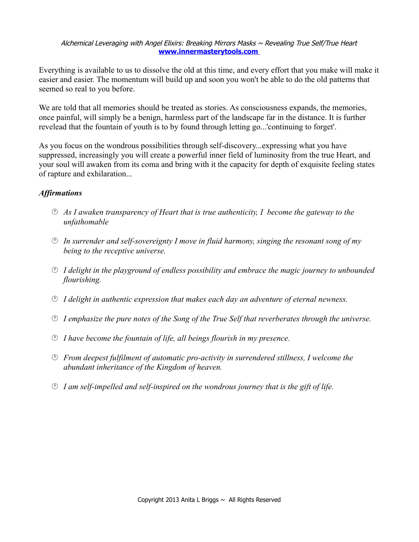## Alchemical Leveraging with Angel Elixirs: Breaking Mirrors Masks  $\sim$  Revealing True Self/True Heart  **[www.innermasterytools.com](http://www.innermasterytools.com/)**

Everything is available to us to dissolve the old at this time, and every effort that you make will make it easier and easier. The momentum will build up and soon you won't be able to do the old patterns that seemed so real to you before.

We are told that all memories should be treated as stories. As consciousness expands, the memories, once painful, will simply be a benign, harmless part of the landscape far in the distance. It is further revelead that the fountain of youth is to by found through letting go...'continuing to forget'.

As you focus on the wondrous possibilities through self-discovery...expressing what you have suppressed, increasingly you will create a powerful inner field of luminosity from the true Heart, and your soul will awaken from its coma and bring with it the capacity for depth of exquisite feeling states of rapture and exhilaration...

## *Affirmations*

- *As I awaken transparency of Heart that is true authenticity, I become the gateway to the unfathomable*
- *In surrender and self-sovereignty I move in fluid harmony, singing the resonant song of my being to the receptive universe.*
- *I delight in the playground of endless possibility and embrace the magic journey to unbounded flourishing.*
- *I delight in authentic expression that makes each day an adventure of eternal newness.*
- *I emphasize the pure notes of the Song of the True Self that reverberates through the universe.*
- *I have become the fountain of life, all beings flourish in my presence.*
- *From deepest fulfilment of automatic pro-activity in surrendered stillness, I welcome the abundant inheritance of the Kingdom of heaven.*
- *I am self-impelled and self-inspired on the wondrous journey that is the gift of life.*